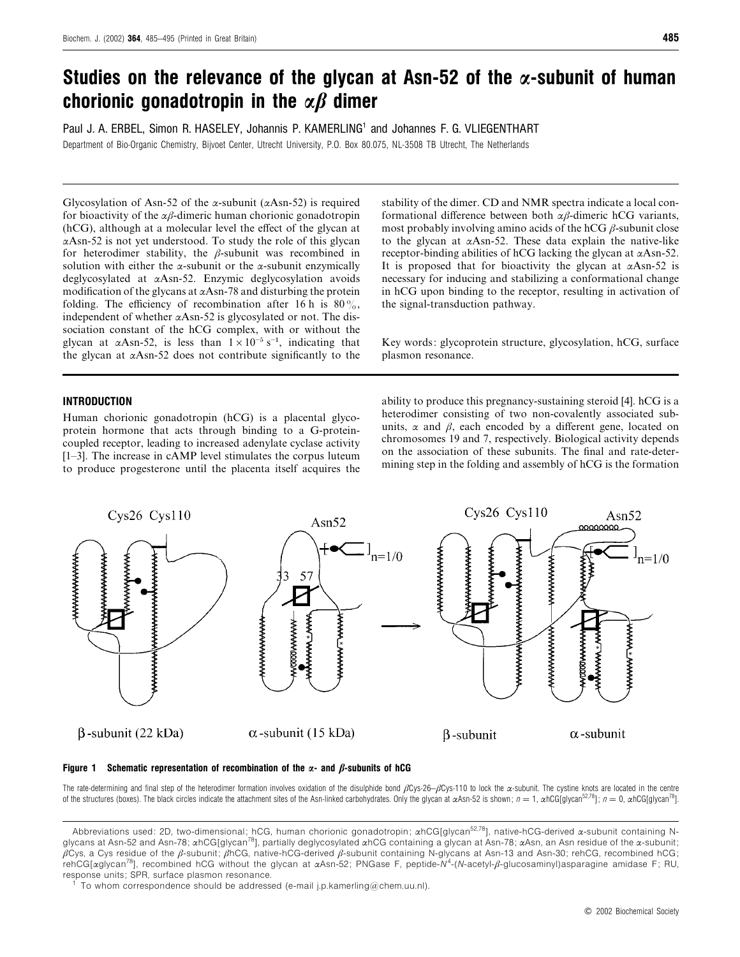# *Studies on the relevance of the glycan at Asn-52 of the α-subunit of human chorionic gonadotropin in the αβ dimer*

Paul J. A. ERBEL, Simon R. HASELEY, Johannis P. KAMERLING<sup>1</sup> and Johannes F. G. VLIEGENTHART Department of Bio-Organic Chemistry, Bijvoet Center, Utrecht University, P.O. Box 80.075, NL-3508 TB Utrecht, The Netherlands

Glycosylation of Asn-52 of the  $\alpha$ -subunit ( $\alpha$ Asn-52) is required for bioactivity of the  $\alpha\beta$ -dimeric human chorionic gonadotropin (hCG), although at a molecular level the effect of the glycan at  $\alpha$ Asn-52 is not yet understood. To study the role of this glycan for heterodimer stability, the  $\beta$ -subunit was recombined in solution with either the  $\alpha$ -subunit or the  $\alpha$ -subunit enzymically deglycosylated at αAsn-52. Enzymic deglycosylation avoids modification of the glycans at  $\alpha$ Asn-78 and disturbing the protein folding. The efficiency of recombination after 16 h is  $80\%$ , independent of whether  $\alpha$ Asn-52 is glycosylated or not. The dissociation constant of the hCG complex, with or without the glycan at  $\alpha$ Asn-52, is less than  $1 \times 10^{-5}$  s<sup>-1</sup>, indicating that the glycan at  $\alpha$ Asn-52 does not contribute significantly to the

#### *INTRODUCTION*

Human chorionic gonadotropin (hCG) is a placental glycoprotein hormone that acts through binding to a G-proteincoupled receptor, leading to increased adenylate cyclase activity [1–3]. The increase in cAMP level stimulates the corpus luteum to produce progesterone until the placenta itself acquires the stability of the dimer. CD and NMR spectra indicate a local conformational difference between both αβ-dimeric hCG variants, most probably involving amino acids of the hCG  $\beta$ -subunit close to the glycan at αAsn-52. These data explain the native-like receptor-binding abilities of hCG lacking the glycan at  $\alpha$ Asn-52. It is proposed that for bioactivity the glycan at  $\alpha$ Asn-52 is necessary for inducing and stabilizing a conformational change in hCG upon binding to the receptor, resulting in activation of the signal-transduction pathway.

Key words: glycoprotein structure, glycosylation, hCG, surface plasmon resonance.

ability to produce this pregnancy-sustaining steroid [4]. hCG is a heterodimer consisting of two non-covalently associated subunits,  $\alpha$  and  $\beta$ , each encoded by a different gene, located on chromosomes 19 and 7, respectively. Biological activity depends on the association of these subunits. The final and rate-determining step in the folding and assembly of hCG is the formation





The rate-determining and final step of the heterodimer formation involves oxidation of the disulphide bond  $\beta Cys-26-\beta Cys-110$  to lock the  $\alpha$ -subunit. The cystine knots are located in the centre of the structures (boxes). The black circles indicate the attachment sites of the Asn-linked carbohydrates. Only the glycan at αAsn-52 is shown;  $n = 1$ , αhCG[glycan<sup>52,78</sup>];  $n = 0$ , αhCG[glycan<sup>78</sup>].

Abbreviations used: 2D, two-dimensional; hCG, human chorionic gonadotropin; αhCG[glycan<sup>52,78</sup>], native-hCG-derived α-subunit containing Nglycans at Asn-52 and Asn-78;  $\alpha$ hCG[glycan<sup>78</sup>], partially deglycosylated  $\alpha$ hCG containing a glycan at Asn-78;  $\alpha$ Asn, an Asn residue of the  $\alpha$ -subunit;  $\beta$ Cys, a Cys residue of the β-subunit; βhCG, native-hCG-derived β-subunit containing N-glycans at Asn-13 and Asn-30; rehCG, recombined hCG; rehCG[αglycan78], recombined hCG without the glycan at αAsn-52; PNGase F, peptide-*N*<sup>4</sup> -(*N*-acetyl-β-glucosaminyl)asparagine amidase F; RU, response units; SPR, surface plasmon resonance.<br><sup>1</sup> To whom correspondence should be addressed (e-mail j.p.kamerling@chem.uu.nl).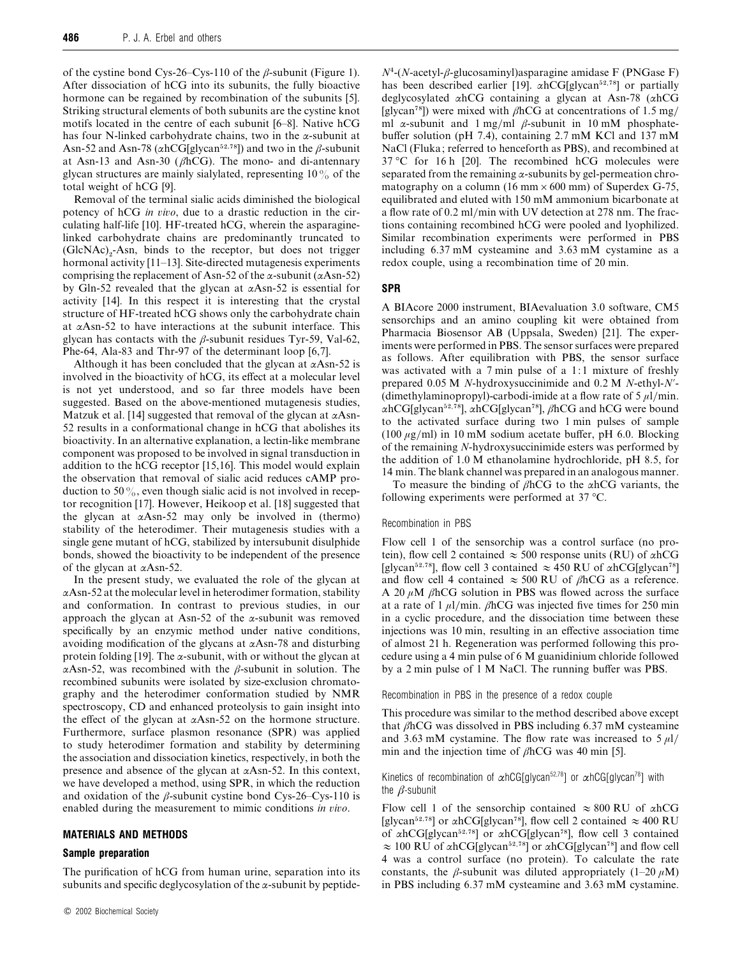of the cystine bond Cys-26–Cys-110 of the  $\beta$ -subunit (Figure 1). After dissociation of hCG into its subunits, the fully bioactive hormone can be regained by recombination of the subunits [5]. Striking structural elements of both subunits are the cystine knot motifs located in the centre of each subunit [6–8]. Native hCG has four N-linked carbohydrate chains, two in the  $\alpha$ -subunit at Asn-52 and Asn-78 ( $\alpha$ hCG[glycan<sup>52,78</sup>]) and two in the  $\beta$ -subunit at Asn-13 and Asn-30 ( $\beta$ hCG). The mono- and di-antennary glycan structures are mainly sialylated, representing  $10\%$  of the total weight of hCG [9].

Removal of the terminal sialic acids diminished the biological potency of hCG *in io*, due to a drastic reduction in the circulating half-life [10]. HF-treated hCG, wherein the asparaginelinked carbohydrate chains are predominantly truncated to  $(GlcNAc)<sub>2</sub>$ -Asn, binds to the receptor, but does not trigger hormonal activity [11–13]. Site-directed mutagenesis experiments comprising the replacement of Asn-52 of the  $\alpha$ -subunit ( $\alpha$ Asn-52) by Gln-52 revealed that the glycan at  $\alpha$ Asn-52 is essential for activity [14]. In this respect it is interesting that the crystal structure of HF-treated hCG shows only the carbohydrate chain at αAsn-52 to have interactions at the subunit interface. This glycan has contacts with the  $\beta$ -subunit residues Tyr-59, Val-62, Phe-64, Ala-83 and Thr-97 of the determinant loop [6,7].

Although it has been concluded that the glycan at  $\alpha$ Asn-52 is involved in the bioactivity of hCG, its effect at a molecular level is not yet understood, and so far three models have been suggested. Based on the above-mentioned mutagenesis studies, Matzuk et al. [14] suggested that removal of the glycan at  $\alpha$ Asn-52 results in a conformational change in hCG that abolishes its bioactivity. In an alternative explanation, a lectin-like membrane component was proposed to be involved in signal transduction in addition to the hCG receptor [15,16]. This model would explain the observation that removal of sialic acid reduces cAMP production to 50 $\%$ , even though sialic acid is not involved in receptor recognition [17]. However, Heikoop et al. [18] suggested that the glycan at  $\alpha$ Asn-52 may only be involved in (thermo) stability of the heterodimer. Their mutagenesis studies with a single gene mutant of hCG, stabilized by intersubunit disulphide bonds, showed the bioactivity to be independent of the presence of the glycan at αAsn-52.

In the present study, we evaluated the role of the glycan at  $\alpha$ Asn-52 at the molecular level in heterodimer formation, stability and conformation. In contrast to previous studies, in our approach the glycan at Asn-52 of the  $\alpha$ -subunit was removed specifically by an enzymic method under native conditions, avoiding modification of the glycans at  $\alpha$ Asn-78 and disturbing protein folding [19]. The  $\alpha$ -subunit, with or without the glycan at αAsn-52, was recombined with the β-subunit in solution. The recombined subunits were isolated by size-exclusion chromatography and the heterodimer conformation studied by NMR spectroscopy, CD and enhanced proteolysis to gain insight into the effect of the glycan at  $\alpha$ Asn-52 on the hormone structure. Furthermore, surface plasmon resonance (SPR) was applied to study heterodimer formation and stability by determining the association and dissociation kinetics, respectively, in both the presence and absence of the glycan at αAsn-52. In this context, we have developed a method, using SPR, in which the reduction and oxidation of the  $\beta$ -subunit cystine bond Cys-26–Cys-110 is enabled during the measurement to mimic conditions *in io*.

#### *MATERIALS AND METHODS*

#### *Sample preparation*

The purification of hCG from human urine, separation into its subunits and specific deglycosylation of the  $\alpha$ -subunit by peptide*<sup>N</sup>*%-(*N*-acetyl-β-glucosaminyl)asparagine amidase F (PNGase F) has been described earlier [19].  $\alpha$ hCG[glycan<sup>52,78</sup>] or partially deglycosylated αhCG containing a glycan at Asn-78 (αhCG [glycan<sup>78</sup>]) were mixed with  $\beta$ hCG at concentrations of 1.5 mg/ ml  $\alpha$ -subunit and 1 mg/ml  $\beta$ -subunit in 10 mM phosphatebuffer solution (pH 7.4), containing 2.7 mM KCl and 137 mM NaCl (Fluka; referred to henceforth as PBS), and recombined at 37 °C for 16 h [20]. The recombined hCG molecules were separated from the remaining  $\alpha$ -subunits by gel-permeation chromatography on a column (16 mm  $\times$  600 mm) of Superdex G-75, equilibrated and eluted with 150 mM ammonium bicarbonate at a flow rate of 0.2 ml/min with UV detection at 278 nm. The fractions containing recombined hCG were pooled and lyophilized. Similar recombination experiments were performed in PBS including 6.37 mM cysteamine and 3.63 mM cystamine as a redox couple, using a recombination time of 20 min.

# *SPR*

A BIAcore 2000 instrument, BIAevaluation 3.0 software, CM5 sensorchips and an amino coupling kit were obtained from Pharmacia Biosensor AB (Uppsala, Sweden) [21]. The experiments were performed in PBS. The sensor surfaces were prepared as follows. After equilibration with PBS, the sensor surface was activated with a 7 min pulse of a 1:1 mixture of freshly prepared 0.05 M *N*-hydroxysuccinimide and 0.2 M *N*-ethyl-*N*«- (dimethylaminopropyl)-carbodi-imide at a flow rate of  $5 \mu$ l/min.  $\alpha$ hCG[glycan<sup>52,78</sup>],  $\alpha$ hCG[glycan<sup>78</sup>],  $\beta$ hCG and hCG were bound to the activated surface during two 1 min pulses of sample (100  $\mu$ g/ml) in 10 mM sodium acetate buffer, pH 6.0. Blocking of the remaining *N*-hydroxysuccinimide esters was performed by the addition of 1.0 M ethanolamine hydrochloride, pH 8.5, for 14 min. The blank channel was prepared in an analogous manner.

To measure the binding of  $\beta$ hCG to the  $\alpha$ hCG variants, the following experiments were performed at 37 °C.

#### Recombination in PBS

Flow cell 1 of the sensorchip was a control surface (no protein), flow cell 2 contained  $\approx$  500 response units (RU) of  $\alpha$ hCG [glycan<sup>52,78</sup>], flow cell 3 contained  $\approx$  450 RU of  $\alpha$ hCG[glycan<sup>78</sup>] and flow cell 4 contained  $\approx$  500 RU of βhCG as a reference. A 20  $\mu$ M  $\beta$ hCG solution in PBS was flowed across the surface at a rate of 1  $\mu$ l/min. βhCG was injected five times for 250 min in a cyclic procedure, and the dissociation time between these injections was 10 min, resulting in an effective association time of almost 21 h. Regeneration was performed following this procedure using a 4 min pulse of 6 M guanidinium chloride followed by a 2 min pulse of 1 M NaCl. The running buffer was PBS.

Recombination in PBS in the presence of a redox couple

This procedure was similar to the method described above except that  $\beta$ hCG was dissolved in PBS including 6.37 mM cysteamine and 3.63 mM cystamine. The flow rate was increased to  $5 \mu$ l/ min and the injection time of  $\beta$ hCG was 40 min [5].

# Kinetics of recombination of  $\alpha$ hCG[glycan<sup>52,78</sup>] or  $\alpha$ hCG[glycan<sup>78</sup>] with the  $\beta$ -subunit

Flow cell 1 of the sensorchip contained  $\approx 800$  RU of  $\alpha$ hCG [glycan<sup>52,78</sup>] or  $\alpha$ hCG[glycan<sup>78</sup>], flow cell 2 contained  $\approx$  400 RU of  $\alpha$ hCG[glycan<sup>52,78</sup>] or  $\alpha$ hCG[glycan<sup>78</sup>], flow cell 3 contained  $\approx$  100 RU of αhCG[glycan<sup>52,78</sup>] or αhCG[glycan<sup>78</sup>] and flow cell 4 was a control surface (no protein). To calculate the rate constants, the  $\beta$ -subunit was diluted appropriately (1–20  $\mu$ M) in PBS including 6.37 mM cysteamine and 3.63 mM cystamine.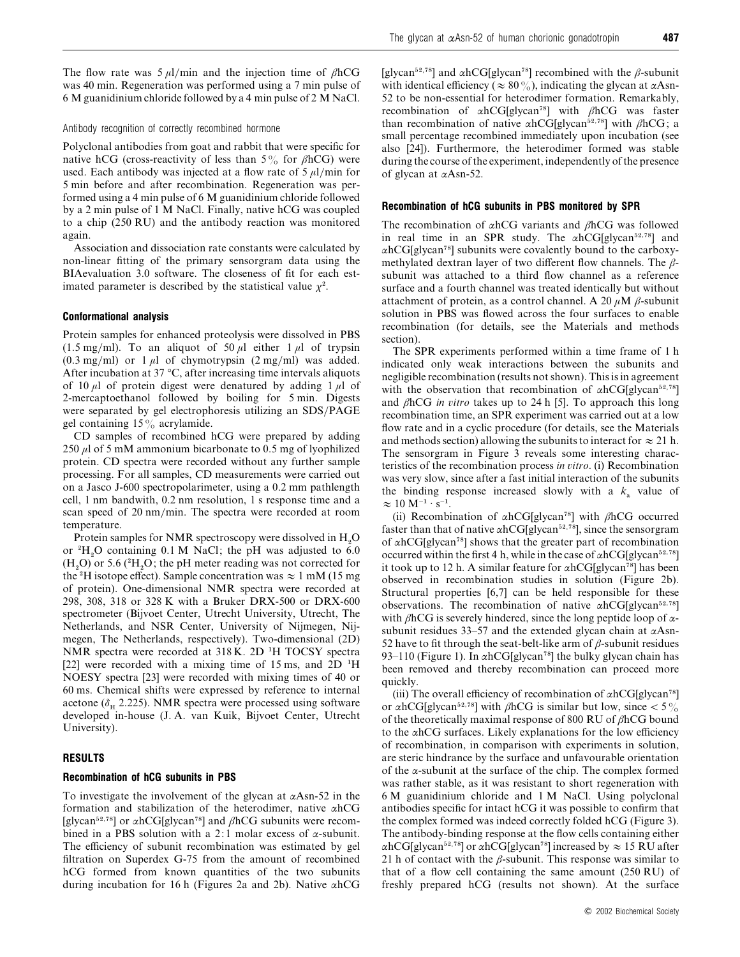The flow rate was  $5 \mu l/min$  and the injection time of  $\beta hCG$ was 40 min. Regeneration was performed using a 7 min pulse of 6 M guanidinium chloride followed by a 4 min pulse of 2 M NaCl.

#### Antibody recognition of correctly recombined hormone

Polyclonal antibodies from goat and rabbit that were specific for native hCG (cross-reactivity of less than  $5\%$  for  $\beta$ hCG) were used. Each antibody was injected at a flow rate of  $5 \mu$ l/min for 5 min before and after recombination. Regeneration was performed using a 4 min pulse of 6 M guanidinium chloride followed by a 2 min pulse of 1 M NaCl. Finally, native hCG was coupled to a chip (250 RU) and the antibody reaction was monitored again.

Association and dissociation rate constants were calculated by non-linear fitting of the primary sensorgram data using the BIAevaluation 3.0 software. The closeness of fit for each estimated parameter is described by the statistical value  $\chi^2$ .

#### *Conformational analysis*

Protein samples for enhanced proteolysis were dissolved in PBS (1.5 mg/ml). To an aliquot of 50  $\mu$ l either 1  $\mu$ l of trypsin  $(0.3 \text{ mg/ml})$  or 1  $\mu$ l of chymotrypsin  $(2 \text{ mg/ml})$  was added. After incubation at 37 °C, after increasing time intervals aliquots of 10  $\mu$ l of protein digest were denatured by adding 1  $\mu$ l of 2-mercaptoethanol followed by boiling for 5 min. Digests were separated by gel electrophoresis utilizing an SDS/PAGE gel containing 15% acrylamide.

CD samples of recombined hCG were prepared by adding 250 µl of 5 mM ammonium bicarbonate to 0.5 mg of lyophilized protein. CD spectra were recorded without any further sample processing. For all samples, CD measurements were carried out on a Jasco J-600 spectropolarimeter, using a 0.2 mm pathlength cell, 1 nm bandwith, 0.2 nm resolution, 1 s response time and a scan speed of 20 nm/min. The spectra were recorded at room temperature.

Protein samples for NMR spectroscopy were dissolved in  $H<sub>2</sub>O$ Protein samples for INNIX spectroscopy were dissolved in  $H_2O$ <br>or  $H_3O$  containing 0.1 M NaCl; the pH was adjusted to 6.0 or  $H_2O$  containing 0.1 M NaCl; the pH was adjusted to 0.0<br>(H<sub>2</sub>O) or 5.6 ( $H_2O$ ; the pH meter reading was not corrected for  $(\text{H}_2\text{O})$  or 5.0 ( $\text{H}_2\text{O}$ , the pH ineter reading was not corrected for the <sup>2</sup>H isotope effect). Sample concentration was  $\approx 1 \text{ mM}$  (15 mg of protein). One-dimensional NMR spectra were recorded at 298, 308, 318 or 328 K with a Bruker DRX-500 or DRX-600 spectrometer (Bijvoet Center, Utrecht University, Utrecht, The Netherlands, and NSR Center, University of Nijmegen, Nijmegen, The Netherlands, respectively). Two-dimensional (2D) NMR spectra were recorded at 318 K. 2D "H TOCSY spectra [22] were recorded with a mixing time of 15 ms, and 2D <sup>1</sup>H NOESY spectra [23] were recorded with mixing times of 40 or 60 ms. Chemical shifts were expressed by reference to internal acetone ( $\delta_{\text{H}}$  2.225). NMR spectra were processed using software developed in-house (J. A. van Kuik, Bijvoet Center, Utrecht University).

#### *RESULTS*

## *Recombination of hCG subunits in PBS*

To investigate the involvement of the glycan at  $\alpha$ Asn-52 in the formation and stabilization of the heterodimer, native αhCG [glycan<sup>52,78</sup>] or  $\alpha$ hCG[glycan<sup>78</sup>] and  $\beta$ hCG subunits were recombined in a PBS solution with a 2:1 molar excess of  $\alpha$ -subunit. The efficiency of subunit recombination was estimated by gel filtration on Superdex G-75 from the amount of recombined hCG formed from known quantities of the two subunits during incubation for 16 h (Figures 2a and 2b). Native αhCG

[glycan<sup>52,78</sup>] and  $\alpha$ hCG[glycan<sup>78</sup>] recombined with the *β*-subunit with identical efficiency ( $\approx 80\%$ ), indicating the glycan at  $\alpha$ Asn-52 to be non-essential for heterodimer formation. Remarkably, recombination of  $\alpha$ hCG[glycan<sup>78</sup>] with  $\beta$ hCG was faster than recombination of native  $\alpha$ hCG[glycan<sup>52,78</sup>] with  $\beta$ hCG; a small percentage recombined immediately upon incubation (see also [24]). Furthermore, the heterodimer formed was stable during the course of the experiment, independently of the presence of glycan at αAsn-52.

# *Recombination of hCG subunits in PBS monitored by SPR*

The recombination of  $\alpha$ hCG variants and  $\beta$ hCG was followed in real time in an SPR study. The  $\alpha$ hCG[glycan<sup>52,78</sup>] and  $\alpha$ hCG[glycan<sup>78</sup>] subunits were covalently bound to the carboxymethylated dextran layer of two different flow channels. The  $\beta$ subunit was attached to a third flow channel as a reference surface and a fourth channel was treated identically but without attachment of protein, as a control channel. A 20  $\mu$ M  $\beta$ -subunit solution in PBS was flowed across the four surfaces to enable recombination (for details, see the Materials and methods section).

The SPR experiments performed within a time frame of 1 h indicated only weak interactions between the subunits and negligible recombination (results not shown). This is in agreement with the observation that recombination of  $\alpha$ hCG[glycan<sup>52,78</sup>] and βhCG *in itro* takes up to 24 h [5]. To approach this long recombination time, an SPR experiment was carried out at a low flow rate and in a cyclic procedure (for details, see the Materials and methods section) allowing the subunits to interact for  $\approx 21$  h. The sensorgram in Figure 3 reveals some interesting characteristics of the recombination process *in itro*. (i) Recombination was very slow, since after a fast initial interaction of the subunits the binding response increased slowly with a  $k_a$  value of  $\approx 10$  M<sup>-1</sup> · s<sup>-1</sup>.

(ii) Recombination of  $\alpha$ hCG[glycan<sup>78</sup>] with  $\beta$ hCG occurred faster than that of native  $\alpha$ hCG[glycan<sup>52,78</sup>], since the sensorgram of  $\alpha$ hCG[glycan<sup>78</sup>] shows that the greater part of recombination occurred within the first 4 h, while in the case of  $\alpha$ hCG[glycan<sup>52,78</sup>] it took up to 12 h. A similar feature for  $\alpha$ hCG[glycan<sup>78</sup>] has been observed in recombination studies in solution (Figure 2b). Structural properties [6,7] can be held responsible for these observations. The recombination of native  $\alpha$ hCG[glycan<sup>52,78</sup>] with  $\beta$ hCG is severely hindered, since the long peptide loop of  $\alpha$ subunit residues 33–57 and the extended glycan chain at  $\alpha$ Asn-52 have to fit through the seat-belt-like arm of  $\beta$ -subunit residues 93–110 (Figure 1). In  $\alpha$ hCG[glycan<sup>78</sup>] the bulky glycan chain has been removed and thereby recombination can proceed more quickly.

(iii) The overall efficiency of recombination of  $\alpha$ hCG[glycan<sup>78</sup>] or  $\alpha$ hCG[glycan<sup>52,78</sup>] with  $\beta$ hCG is similar but low, since < 5% of the theoretically maximal response of 800 RU of βhCG bound to the αhCG surfaces. Likely explanations for the low efficiency of recombination, in comparison with experiments in solution, are steric hindrance by the surface and unfavourable orientation of the  $\alpha$ -subunit at the surface of the chip. The complex formed was rather stable, as it was resistant to short regeneration with 6 M guanidinium chloride and 1 M NaCl. Using polyclonal antibodies specific for intact hCG it was possible to confirm that the complex formed was indeed correctly folded hCG (Figure 3). The antibody-binding response at the flow cells containing either  $\alpha$ hCG[glycan<sup>52,78</sup>] or  $\alpha$ hCG[glycan<sup>78</sup>] increased by  $\approx$  15 RU after 21 h of contact with the  $\beta$ -subunit. This response was similar to that of a flow cell containing the same amount (250 RU) of freshly prepared hCG (results not shown). At the surface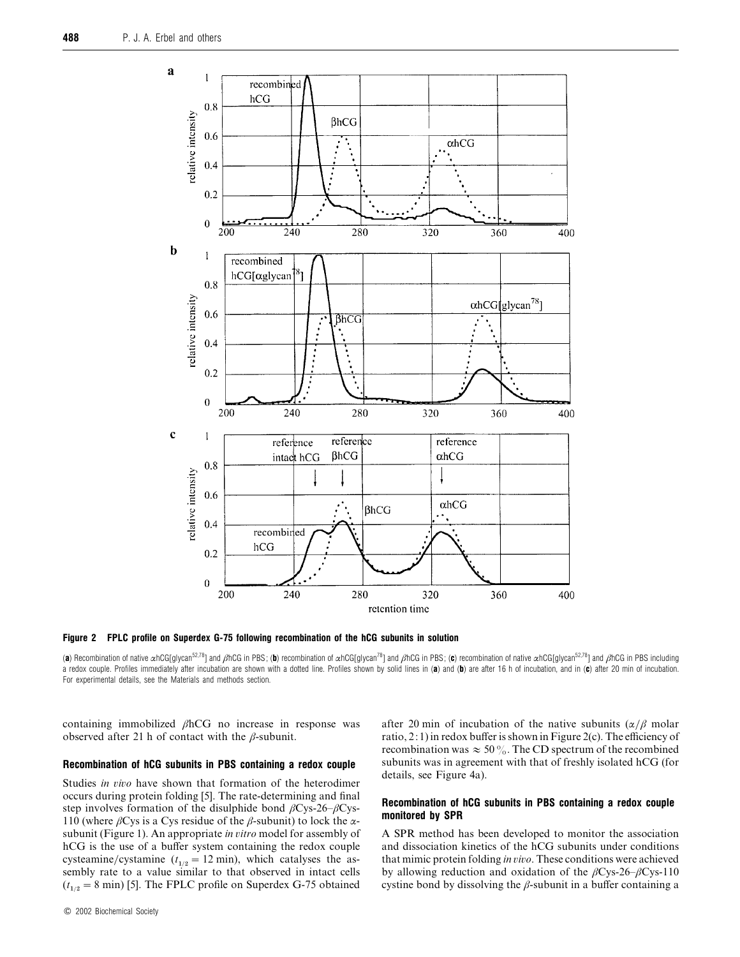

*Figure 2 FPLC profile on Superdex G-75 following recombination of the hCG subunits in solution*

(*a*) Recombination of native αhCG[glycan52,78] and βhCG in PBS ; (*b*) recombination of αhCG[glycan78] and βhCG in PBS ; (*c*) recombination of native αhCG[glycan52,78] and βhCG in PBS including a redox couple. Profiles immediately after incubation are shown with a dotted line. Profiles shown by solid lines in (*a*) and (*b*) are after 16 h of incubation, and in (*c*) after 20 min of incubation. For experimental details, see the Materials and methods section.

containing immobilized βhCG no increase in response was observed after 21 h of contact with the  $\beta$ -subunit.

#### *Recombination of hCG subunits in PBS containing a redox couple*

Studies *in vivo* have shown that formation of the heterodimer occurs during protein folding [5]. The rate-determining and final step involves formation of the disulphide bond  $\beta$ Cys-26– $\beta$ Cys-110 (where  $\beta$ Cys is a Cys residue of the  $\beta$ -subunit) to lock the  $\alpha$ subunit (Figure 1). An appropriate *in itro* model for assembly of hCG is the use of a buffer system containing the redox couple cysteamine/cystamine  $(t_{1/2} = 12 \text{ min})$ , which catalyses the assembly rate to a value similar to that observed in intact cells  $(t_{1/2} = 8 \text{ min})$  [5]. The FPLC profile on Superdex G-75 obtained

after 20 min of incubation of the native subunits  $(\alpha/\beta)$  molar ratio, 2: 1) in redox buffer is shown in Figure 2(c). The efficiency of recombination was  $\approx 50\%$ . The CD spectrum of the recombined subunits was in agreement with that of freshly isolated hCG (for details, see Figure 4a).

# *Recombination of hCG subunits in PBS containing a redox couple monitored by SPR*

A SPR method has been developed to monitor the association and dissociation kinetics of the hCG subunits under conditions that mimic protein folding *in io*. These conditions were achieved by allowing reduction and oxidation of the  $\beta$ Cys-26– $\beta$ Cys-110 cystine bond by dissolving the  $\beta$ -subunit in a buffer containing a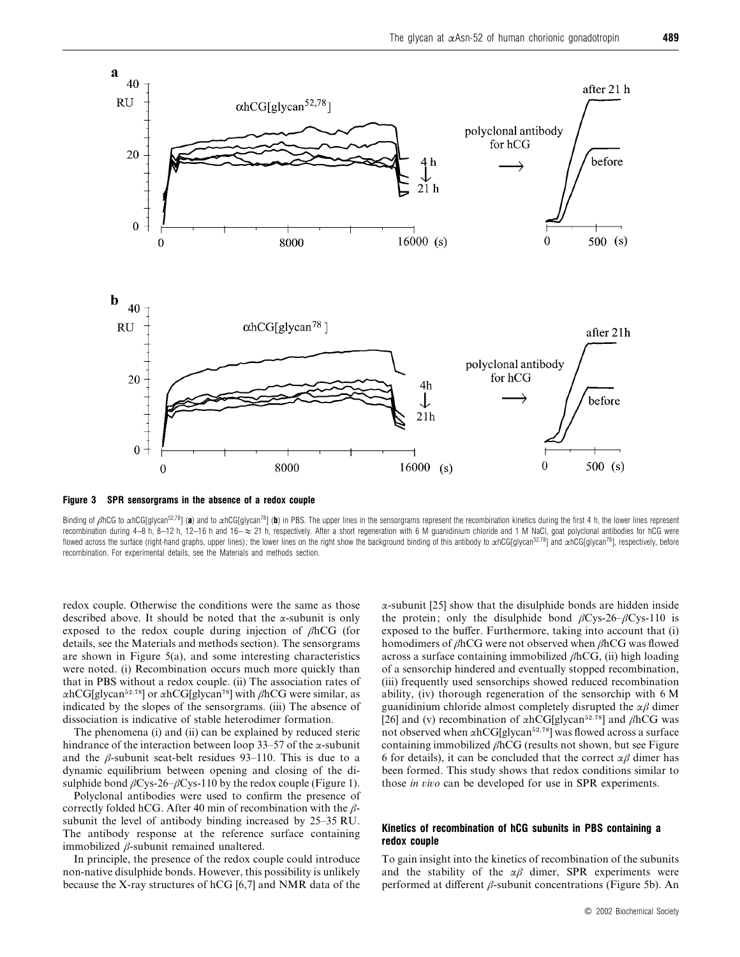

*Figure 3 SPR sensorgrams in the absence of a redox couple*

Binding of βhCG to αhCG[glycan<sup>52,78</sup>] (**a**) and to αhCG[glycan<sup>78</sup>] (**b**) in PBS. The upper lines in the sensorgrams represent the recombination kinetics during the first 4 h, the lower lines represent recombination during 4–8 h, 8–12 h, 12–16 h and 16– $\approx$  21 h, respectively. After a short regeneration with 6 M guanidinium chloride and 1 M NaCl, goat polyclonal antibodies for hCG were flowed across the surface (right-hand graphs, upper lines); the lower lines on the right show the background binding of this antibody to  $\alpha hCG[g|vac]$ <sup>78</sup>] and  $\alpha hCG[g|vac]$ , respectively, before recombination. For experimental details, see the Materials and methods section.

redox couple. Otherwise the conditions were the same as those described above. It should be noted that the  $\alpha$ -subunit is only exposed to the redox couple during injection of βhCG (for details, see the Materials and methods section). The sensorgrams are shown in Figure 5(a), and some interesting characteristics were noted. (i) Recombination occurs much more quickly than that in PBS without a redox couple. (ii) The association rates of αhCG[glycan<sup>52,78</sup>] or αhCG[glycan<sup>78</sup>] with βhCG were similar, as indicated by the slopes of the sensorgrams. (iii) The absence of dissociation is indicative of stable heterodimer formation.

The phenomena (i) and (ii) can be explained by reduced steric hindrance of the interaction between loop 33–57 of the  $\alpha$ -subunit and the  $\beta$ -subunit seat-belt residues 93–110. This is due to a dynamic equilibrium between opening and closing of the disulphide bond  $\beta$ Cys-26– $\beta$ Cys-110 by the redox couple (Figure 1).

Polyclonal antibodies were used to confirm the presence of correctly folded hCG. After 40 min of recombination with the  $\beta$ subunit the level of antibody binding increased by 25–35 RU. The antibody response at the reference surface containing immobilized β-subunit remained unaltered.

In principle, the presence of the redox couple could introduce non-native disulphide bonds. However, this possibility is unlikely because the X-ray structures of hCG [6,7] and NMR data of the α-subunit [25] show that the disulphide bonds are hidden inside the protein; only the disulphide bond  $\beta$ Cys-26– $\beta$ Cys-110 is exposed to the buffer. Furthermore, taking into account that (i) homodimers of βhCG were not observed when βhCG was flowed across a surface containing immobilized  $\beta$ hCG, (ii) high loading of a sensorchip hindered and eventually stopped recombination, (iii) frequently used sensorchips showed reduced recombination ability, (iv) thorough regeneration of the sensorchip with 6 M guanidinium chloride almost completely disrupted the  $\alpha\beta$  dimer [26] and (v) recombination of  $\alpha$ hCG[glycan<sup>52,78</sup>] and βhCG was not observed when  $\alpha$ hCG[glycan<sup>52,78</sup>] was flowed across a surface containing immobilized  $\beta$ hCG (results not shown, but see Figure 6 for details), it can be concluded that the correct  $\alpha\beta$  dimer has been formed. This study shows that redox conditions similar to those *in io* can be developed for use in SPR experiments.

#### *Kinetics of recombination of hCG subunits in PBS containing a redox couple*

To gain insight into the kinetics of recombination of the subunits and the stability of the  $\alpha\beta$  dimer, SPR experiments were performed at different β-subunit concentrations (Figure 5b). An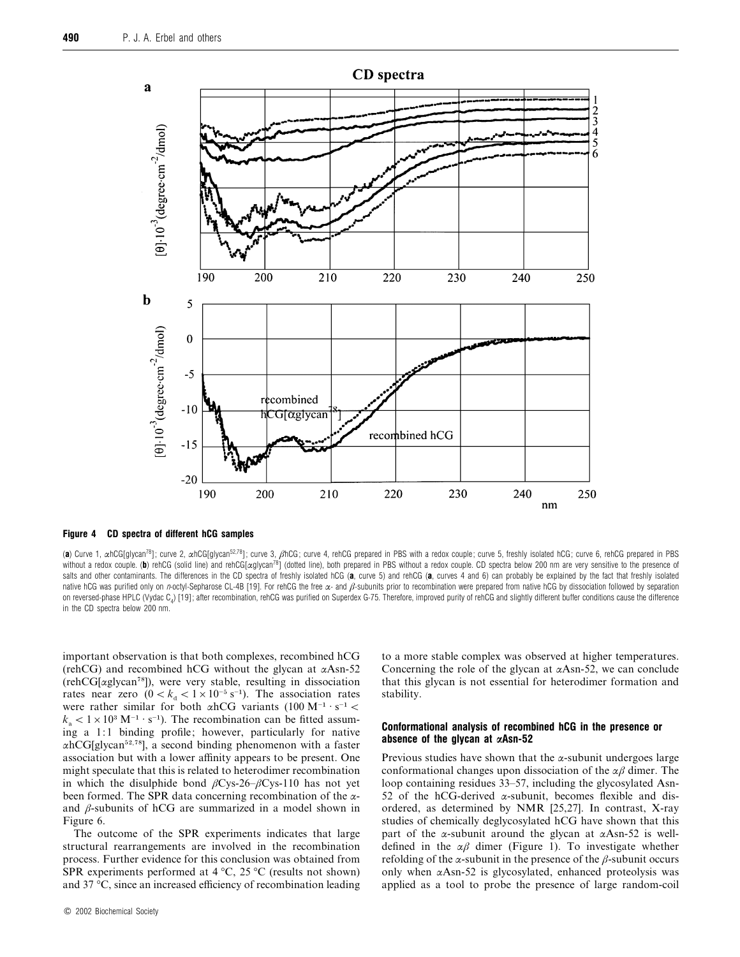

*Figure 4 CD spectra of different hCG samples*

(a) Curve 1, αhCG[glycan<sup>78</sup>]; curve 2, αhCG[glycan<sup>52,78</sup>]; curve 3, βhCG; curve 4, rehCG prepared in PBS with a redox couple; curve 5, freshly isolated hCG; curve 6, rehCG prepared in PBS without a redox couple. (b) rehCG (solid line) and rehCG[ $\alpha$ glycan<sup>78</sup>] (dotted line), both prepared in PBS without a redox couple. CD spectra below 200 nm are very sensitive to the presence of salts and other contaminants. The differences in the CD spectra of freshly isolated hCG (a, curve 5) and rehCG (a, curves 4 and 6) can probably be explained by the fact that freshly isolated native hCG was purified only on *n*-octyl-Sepharose CL-4B [19]. For rehCG the free α- and *β*-subunits prior to recombination were prepared from native hCG by dissociation followed by separation on reversed-phase HPLC (Vydac  $C_a$ ) [19]; after recombination, rehCG was purified on Superdex G-75. Therefore, improved purity of rehCG and slightly different buffer conditions cause the difference in the CD spectra below 200 nm.

important observation is that both complexes, recombined hCG (rehCG) and recombined hCG without the glycan at  $\alpha$ Asn-52  $(rehCG[αglycan<sup>78</sup>])$ , were very stable, resulting in dissociation rates near zero  $(0 < k_d < 1 \times 10^{-5} \text{ s}^{-1})$ . The association rates were rather similar for both  $\alpha$ hCG variants (100 M<sup>-1</sup> · s<sup>-1</sup> <  $k_{\rm s}$  < 1 × 10<sup>3</sup> M<sup>-1</sup> · s<sup>-1</sup>). The recombination can be fitted assuming a 1:1 binding profile; however, particularly for native  $\alpha$ hCG[glycan<sup>52,78</sup>], a second binding phenomenon with a faster association but with a lower affinity appears to be present. One might speculate that this is related to heterodimer recombination in which the disulphide bond  $\beta$ Cys-26– $\beta$ Cys-110 has not yet been formed. The SPR data concerning recombination of the  $\alpha$ and  $\beta$ -subunits of hCG are summarized in a model shown in Figure 6.

The outcome of the SPR experiments indicates that large structural rearrangements are involved in the recombination process. Further evidence for this conclusion was obtained from SPR experiments performed at  $4^{\circ}$ C,  $25^{\circ}$ C (results not shown) and 37 °C, since an increased efficiency of recombination leading to a more stable complex was observed at higher temperatures. Concerning the role of the glycan at  $\alpha$ Asn-52, we can conclude that this glycan is not essential for heterodimer formation and stability.

#### *Conformational analysis of recombined hCG in the presence or absence of the glycan at αAsn-52*

Previous studies have shown that the  $\alpha$ -subunit undergoes large conformational changes upon dissociation of the  $\alpha\beta$  dimer. The loop containing residues 33–57, including the glycosylated Asn-52 of the hCG-derived  $\alpha$ -subunit, becomes flexible and disordered, as determined by NMR [25,27]. In contrast, X-ray studies of chemically deglycosylated hCG have shown that this part of the  $\alpha$ -subunit around the glycan at  $\alpha$ Asn-52 is welldefined in the  $\alpha\beta$  dimer (Figure 1). To investigate whether refolding of the  $\alpha$ -subunit in the presence of the  $\beta$ -subunit occurs only when  $\alpha$ Asn-52 is glycosylated, enhanced proteolysis was applied as a tool to probe the presence of large random-coil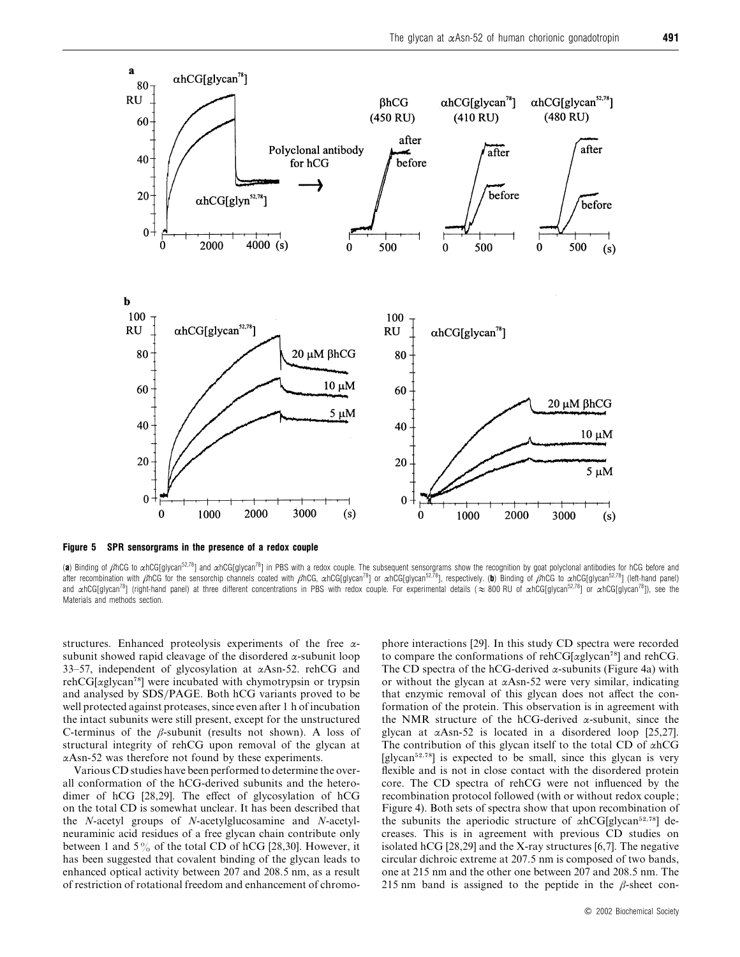

*Figure 5 SPR sensorgrams in the presence of a redox couple*

(a) Binding of βhCG to αhCG[glycan<sup>52,78</sup>] and αhCG[glycan<sup>78</sup>] in PBS with a redox couple. The subsequent sensorgrams show the recognition by goat polyclonal antibodies for hCG before and after recombination with βhCG for the sensorchip channels coated with βhCG, αhCG[glycan<sup>78</sup>] or αhCG[glycan<sup>52,78</sup>], respectively. (b) Binding of βhCG to αhCG[glycan<sup>52,78</sup>] (left-hand panel) and  $\alpha$ hCG[glycan<sup>78</sup>] (right-hand panel) at three different concentrations in PBS with redox couple. For experimental details ( $\approx 800$  RU of  $\alpha$ hCG[glycan<sup>52,78</sup>] or  $\alpha$ hCG[glycan<sup>78</sup>]), see the Materials and methods section.

structures. Enhanced proteolysis experiments of the free αsubunit showed rapid cleavage of the disordered  $\alpha$ -subunit loop 33–57, independent of glycosylation at αAsn-52. rehCG and  $rehCG[αglycan<sup>78</sup>]$  were incubated with chymotrypsin or trypsin and analysed by SDS/PAGE. Both hCG variants proved to be well protected against proteases, since even after 1 h of incubation the intact subunits were still present, except for the unstructured C-terminus of the  $\beta$ -subunit (results not shown). A loss of structural integrity of rehCG upon removal of the glycan at αAsn-52 was therefore not found by these experiments.

Various CD studies have been performed to determine the overall conformation of the hCG-derived subunits and the heterodimer of hCG [28,29]. The effect of glycosylation of hCG on the total CD is somewhat unclear. It has been described that the *N*-acetyl groups of *N*-acetylglucosamine and *N*-acetylneuraminic acid residues of a free glycan chain contribute only between 1 and 5% of the total CD of hCG [28,30]. However, it has been suggested that covalent binding of the glycan leads to enhanced optical activity between 207 and 208.5 nm, as a result of restriction of rotational freedom and enhancement of chromophore interactions [29]. In this study CD spectra were recorded to compare the conformations of rehCG[ $\alpha$ glycan<sup>78</sup>] and rehCG. The CD spectra of the hCG-derived  $\alpha$ -subunits (Figure 4a) with or without the glycan at  $\alpha$ Asn-52 were very similar, indicating that enzymic removal of this glycan does not affect the conformation of the protein. This observation is in agreement with the NMR structure of the hCG-derived  $\alpha$ -subunit, since the glycan at αAsn-52 is located in a disordered loop [25,27]. The contribution of this glycan itself to the total CD of  $\alpha$ hCG [glycan $52,78$ ] is expected to be small, since this glycan is very flexible and is not in close contact with the disordered protein core. The CD spectra of rehCG were not influenced by the recombination protocol followed (with or without redox couple; Figure 4). Both sets of spectra show that upon recombination of the subunits the aperiodic structure of  $\alpha$ hCG[glycan<sup>52,78</sup>] decreases. This is in agreement with previous CD studies on isolated hCG [28,29] and the X-ray structures [6,7]. The negative circular dichroic extreme at 207.5 nm is composed of two bands, one at 215 nm and the other one between 207 and 208.5 nm. The 215 nm band is assigned to the peptide in the  $\beta$ -sheet con-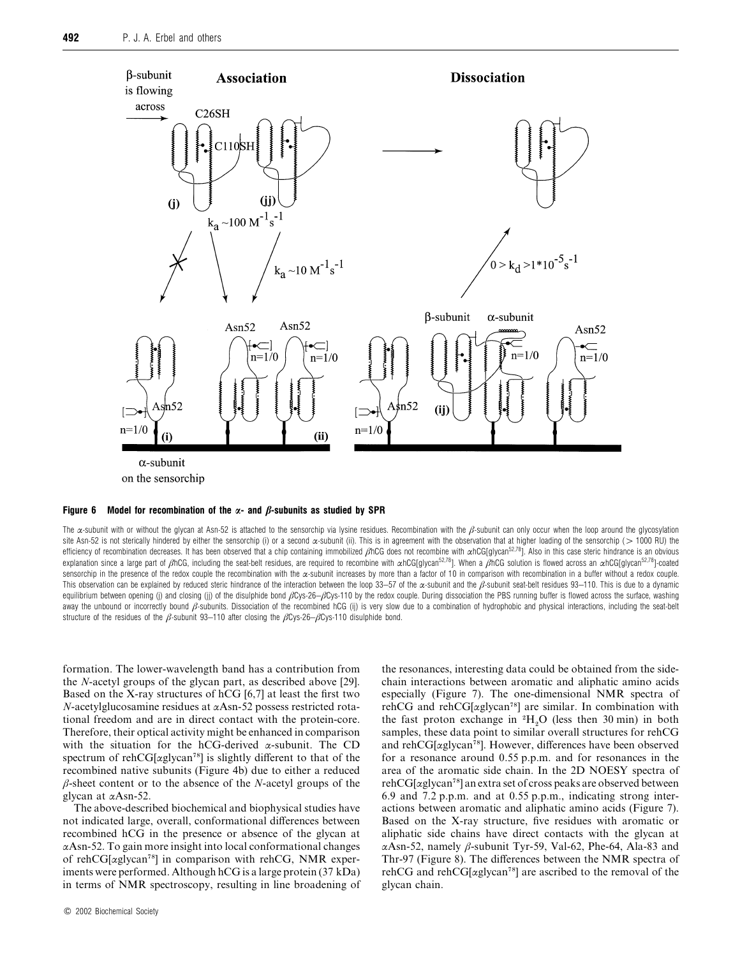

## *Figure 6 Model for recombination of the α- and β-subunits as studied by SPR*

The  $\alpha$ -subunit with or without the glycan at Asn-52 is attached to the sensorchip via lysine residues. Recombination with the  $\beta$ -subunit can only occur when the loop around the glycosylation site Asn-52 is not sterically hindered by either the sensorchip (i) or a second  $\alpha$ -subunit (ii). This is in agreement with the observation that at higher loading of the sensorchip (> 1000 RU) the efficiency of recombination decreases. It has been observed that a chip containing immobilized βhCG does not recombine with αhCG[glycan<sup>52,78</sup>]. Also in this case steric hindrance is an obvious explanation since a large part of βhCG, including the seat-belt residues, are required to recombine with αhCG[glycan<sup>52,78</sup>]. When a βhCG solution is flowed across an αhCG[glycan<sup>52,78</sup>]-coated sensorchip in the presence of the redox couple the recombination with the  $\alpha$ -subunit increases by more than a factor of 10 in comparison with recombination in a buffer without a redox couple. This observation can be explained by reduced steric hindrance of the interaction between the loop 33–57 of the  $\alpha$ -subunit and the  $\beta$ -subunit seat-belt residues 93–110. This is due to a dynamic equilibrium between opening (j) and closing (jj) of the disulphide bond  $\beta Cys-26-\beta Cys-110$  by the redox couple. During dissociation the PBS running buffer is flowed across the surface, washing away the unbound or incorrectly bound β-subunits. Dissociation of the recombined hCG (ij) is very slow due to a combination of hydrophobic and physical interactions, including the seat-belt structure of the residues of the  $\beta$ -subunit 93–110 after closing the  $\beta$ Cys-26– $\beta$ Cys-110 disulphide bond.

formation. The lower-wavelength band has a contribution from the *N*-acetyl groups of the glycan part, as described above [29]. Based on the X-ray structures of hCG [6,7] at least the first two *N*-acetylglucosamine residues at αAsn-52 possess restricted rotational freedom and are in direct contact with the protein-core. Therefore, their optical activity might be enhanced in comparison with the situation for the hCG-derived  $\alpha$ -subunit. The CD spectrum of rehCG[ $\alpha$ glycan<sup>78</sup>] is slightly different to that of the recombined native subunits (Figure 4b) due to either a reduced β-sheet content or to the absence of the *N*-acetyl groups of the glycan at αAsn-52.

The above-described biochemical and biophysical studies have not indicated large, overall, conformational differences between recombined hCG in the presence or absence of the glycan at αAsn-52. To gain more insight into local conformational changes of rehCG[ $\alpha$ glycan<sup>78</sup>] in comparison with rehCG, NMR experiments were performed. Although hCG is a large protein (37 kDa) in terms of NMR spectroscopy, resulting in line broadening of the resonances, interesting data could be obtained from the sidechain interactions between aromatic and aliphatic amino acids especially (Figure 7). The one-dimensional NMR spectra of rehCG and rehCG[ $\alpha$ glycan<sup>78</sup>] are similar. In combination with tenco and fencorally are similar. In combination with the fast proton exchange in  ${}^{2}H_{2}O$  (less then 30 min) in both samples, these data point to similar overall structures for rehCG and reh $CG[αglycan<sup>78</sup>]$ . However, differences have been observed for a resonance around 0.55 p.p.m. and for resonances in the area of the aromatic side chain. In the 2D NOESY spectra of  $reflucG[azlycan<sup>78</sup>]$  an extra set of cross peaks are observed between 6.9 and 7.2 p.p.m. and at 0.55 p.p.m., indicating strong interactions between aromatic and aliphatic amino acids (Figure 7). Based on the X-ray structure, five residues with aromatic or aliphatic side chains have direct contacts with the glycan at αAsn-52, namely β-subunit Tyr-59, Val-62, Phe-64, Ala-83 and Thr-97 (Figure 8). The differences between the NMR spectra of rehCG and rehCG[ $\alpha$ glycan<sup>78</sup>] are ascribed to the removal of the glycan chain.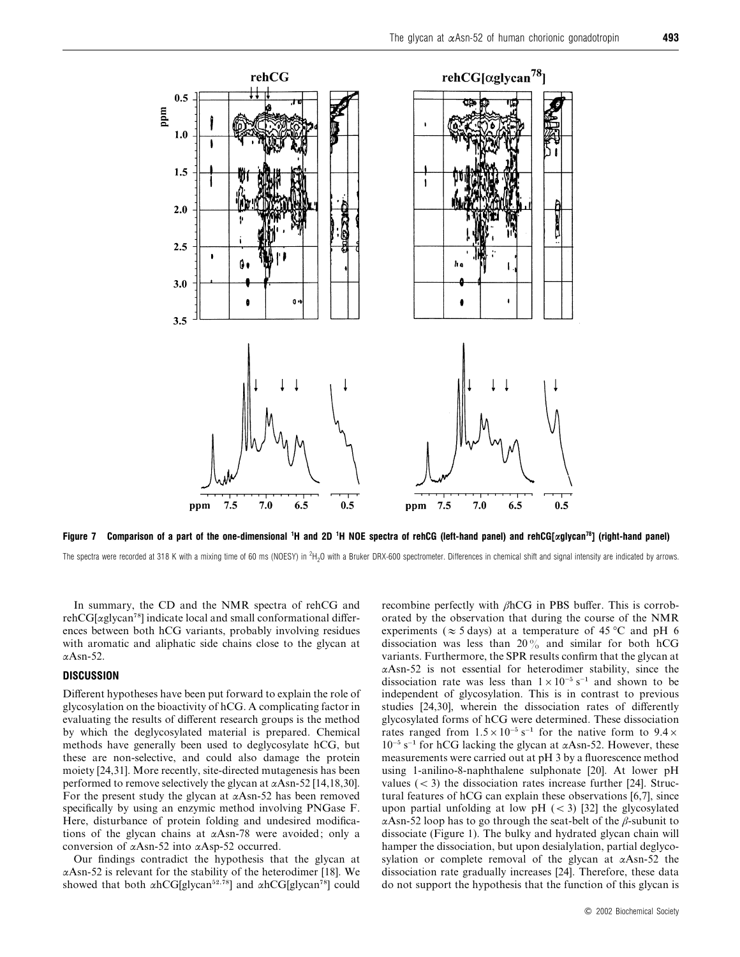

*Figure 7* Comparison of a part of the one-dimensional <sup>1</sup>H and 2D <sup>1</sup>H NOE spectra of rehCG (left-hand panel) and rehCG[ $\alpha$ glycan<sup>78</sup>] (right-hand panel)

The spectra were recorded at 318 K with a mixing time of 60 ms (NOESY) in  ${}^{2}H_{2}$ O with a Bruker DRX-600 spectrometer. Differences in chemical shift and signal intensity are indicated by arrows.

In summary, the CD and the NMR spectra of rehCG and  $rehCG[αglycan<sup>78</sup>]$  indicate local and small conformational differences between both hCG variants, probably involving residues with aromatic and aliphatic side chains close to the glycan at αAsn-52.

## *DISCUSSION*

Different hypotheses have been put forward to explain the role of glycosylation on the bioactivity of hCG. A complicating factor in evaluating the results of different research groups is the method by which the deglycosylated material is prepared. Chemical methods have generally been used to deglycosylate hCG, but these are non-selective, and could also damage the protein moiety [24,31]. More recently, site-directed mutagenesis has been performed to remove selectively the glycan at  $\alpha$ Asn-52 [14,18,30]. For the present study the glycan at  $\alpha$ Asn-52 has been removed specifically by using an enzymic method involving PNGase F. Here, disturbance of protein folding and undesired modifications of the glycan chains at αAsn-78 were avoided; only a conversion of αAsn-52 into αAsp-52 occurred.

Our findings contradict the hypothesis that the glycan at  $\alpha$ Asn-52 is relevant for the stability of the heterodimer [18]. We showed that both  $\alpha$ hCG[glycan<sup>52,78</sup>] and  $\alpha$ hCG[glycan<sup>78</sup>] could recombine perfectly with βhCG in PBS buffer. This is corroborated by the observation that during the course of the NMR experiments ( $\approx$  5 days) at a temperature of 45 °C and pH 6 dissociation was less than  $20\%$  and similar for both hCG variants. Furthermore, the SPR results confirm that the glycan at αAsn-52 is not essential for heterodimer stability, since the dissociation rate was less than  $1\times10^{-5}$  s<sup>−1</sup> and shown to be independent of glycosylation. This is in contrast to previous studies [24,30], wherein the dissociation rates of differently glycosylated forms of hCG were determined. These dissociation rates ranged from  $1.5 \times 10^{-5}$  s<sup>−1</sup> for the native form to  $9.4 \times$  $10^{-5}$  s<sup>-1</sup> for hCG lacking the glycan at  $\alpha$ Asn-52. However, these measurements were carried out at pH 3 by a fluorescence method using 1-anilino-8-naphthalene sulphonate [20]. At lower pH values  $(< 3)$  the dissociation rates increase further [24]. Structural features of hCG can explain these observations [6,7], since upon partial unfolding at low pH  $(< 3)$  [32] the glycosylated αAsn-52 loop has to go through the seat-belt of the  $β$ -subunit to dissociate (Figure 1). The bulky and hydrated glycan chain will hamper the dissociation, but upon desialylation, partial deglycosylation or complete removal of the glycan at αAsn-52 the dissociation rate gradually increases [24]. Therefore, these data do not support the hypothesis that the function of this glycan is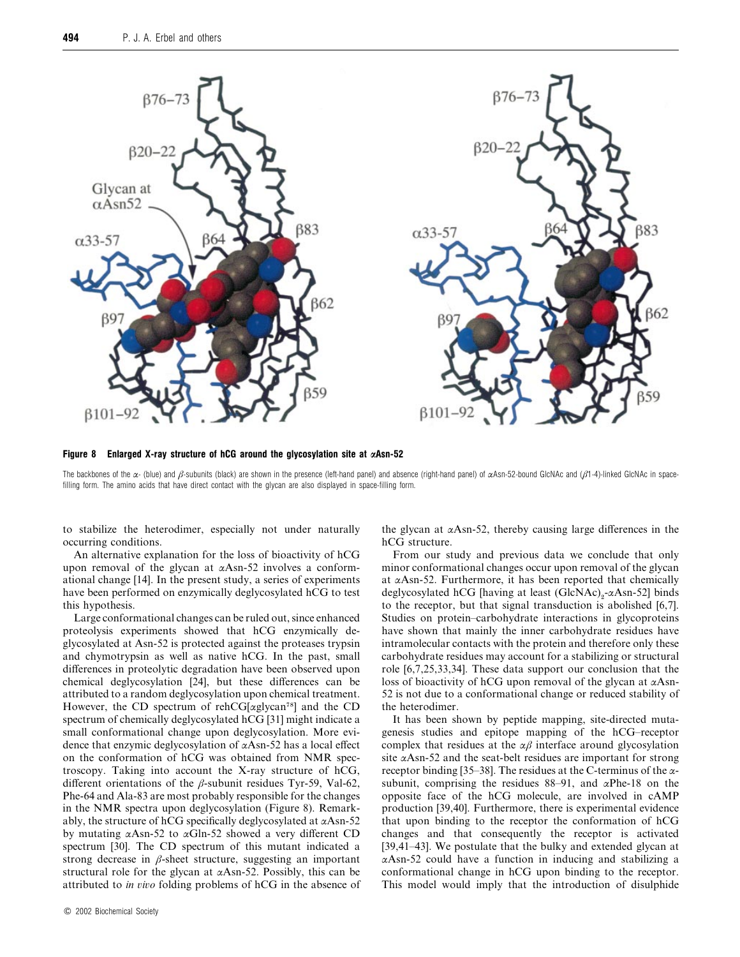

*Figure 8 Enlarged X-ray structure of hCG around the glycosylation site at αAsn-52*

The backbones of the  $\alpha$ - (blue) and  $\beta$ -subunits (black) are shown in the presence (left-hand panel) and absence (right-hand panel) of  $\alpha$ Asn-52-bound GlcNAc and ( $\beta$ 1-4)-linked GlcNAc in spacefilling form. The amino acids that have direct contact with the glycan are also displayed in space-filling form.

to stabilize the heterodimer, especially not under naturally occurring conditions.

An alternative explanation for the loss of bioactivity of hCG upon removal of the glycan at αAsn-52 involves a conformational change [14]. In the present study, a series of experiments have been performed on enzymically deglycosylated hCG to test this hypothesis.

Large conformational changes can be ruled out, since enhanced proteolysis experiments showed that hCG enzymically deglycosylated at Asn-52 is protected against the proteases trypsin and chymotrypsin as well as native hCG. In the past, small differences in proteolytic degradation have been observed upon chemical deglycosylation [24], but these differences can be attributed to a random deglycosylation upon chemical treatment. However, the CD spectrum of rehCG[ $\alpha$ glycan<sup>78</sup>] and the CD spectrum of chemically deglycosylated hCG [31] might indicate a small conformational change upon deglycosylation. More evidence that enzymic deglycosylation of αAsn-52 has a local effect on the conformation of hCG was obtained from NMR spectroscopy. Taking into account the X-ray structure of hCG, different orientations of the  $\beta$ -subunit residues Tyr-59, Val-62, Phe-64 and Ala-83 are most probably responsible for the changes in the NMR spectra upon deglycosylation (Figure 8). Remarkably, the structure of hCG specifically deglycosylated at  $\alpha$ Asn-52 by mutating  $\alpha$ Asn-52 to  $\alpha$ Gln-52 showed a very different CD spectrum [30]. The CD spectrum of this mutant indicated a strong decrease in  $\beta$ -sheet structure, suggesting an important structural role for the glycan at  $\alpha$ Asn-52. Possibly, this can be attributed to *in io* folding problems of hCG in the absence of the glycan at  $\alpha$ Asn-52, thereby causing large differences in the hCG structure.

From our study and previous data we conclude that only minor conformational changes occur upon removal of the glycan at  $\alpha$ Asn-52. Furthermore, it has been reported that chemically deglycosylated hCG [having at least (GlcNAc)<sub>2</sub>-αAsn-52] binds to the receptor, but that signal transduction is abolished [6,7]. Studies on protein–carbohydrate interactions in glycoproteins have shown that mainly the inner carbohydrate residues have intramolecular contacts with the protein and therefore only these carbohydrate residues may account for a stabilizing or structural role [6,7,25,33,34]. These data support our conclusion that the loss of bioactivity of hCG upon removal of the glycan at αAsn-52 is not due to a conformational change or reduced stability of the heterodimer.

It has been shown by peptide mapping, site-directed mutagenesis studies and epitope mapping of the hCG–receptor complex that residues at the  $\alpha\beta$  interface around glycosylation site  $\alpha$ Asn-52 and the seat-belt residues are important for strong receptor binding [35–38]. The residues at the C-terminus of the  $\alpha$ subunit, comprising the residues 88–91, and  $\alpha$ Phe-18 on the opposite face of the hCG molecule, are involved in cAMP production [39,40]. Furthermore, there is experimental evidence that upon binding to the receptor the conformation of hCG changes and that consequently the receptor is activated [39,41–43]. We postulate that the bulky and extended glycan at αAsn-52 could have a function in inducing and stabilizing a conformational change in hCG upon binding to the receptor. This model would imply that the introduction of disulphide